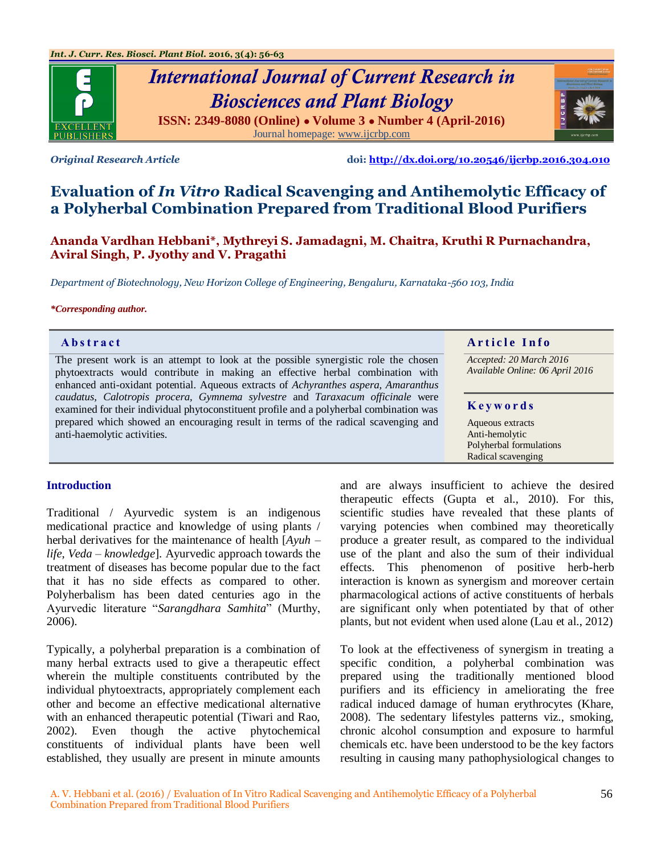

# *International Journal of Current Research in Biosciences and Plant Biology* **ISSN: 2349-8080 (Online) ● Volume 3 ● Number 4 (April-2016)** Journal homepage[: www.ijcrbp.com](http://www.ijcrbp.com/)



*Original Research Article* **doi:<http://dx.doi.org/10.20546/ijcrbp.2016.304.010>**

# **Evaluation of** *In Vitro* **Radical Scavenging and Antihemolytic Efficacy of a Polyherbal Combination Prepared from Traditional Blood Purifiers**

**Ananda Vardhan Hebbani\*, Mythreyi S. Jamadagni, M. Chaitra, Kruthi R Purnachandra, Aviral Singh, P. Jyothy and V. Pragathi**

*Department of Biotechnology, New Horizon College of Engineering, Bengaluru, Karnataka-560 103, India*

#### *\*Corresponding author.*

The present work is an attempt to look at the possible synergistic role the chosen phytoextracts would contribute in making an effective herbal combination with enhanced anti-oxidant potential. Aqueous extracts of *Achyranthes aspera, Amaranthus caudatus, Calotropis procera, Gymnema sylvestre* and *Taraxacum officinale* were examined for their individual phytoconstituent profile and a polyherbal combination was prepared which showed an encouraging result in terms of the radical scavenging and anti-haemolytic activities.

# **Abstract And a region of the Info Article Info**

*Accepted: 20 March 2016 Available Online: 06 April 2016*

#### **K e y w o r d s**

Aqueous extracts Anti-hemolytic Polyherbal formulations Radical scavenging

#### **Introduction**

Traditional / Ayurvedic system is an indigenous medicational practice and knowledge of using plants / herbal derivatives for the maintenance of health [*Ayuh – life, Veda – knowledge*]. Ayurvedic approach towards the treatment of diseases has become popular due to the fact that it has no side effects as compared to other. Polyherbalism has been dated centuries ago in the Ayurvedic literature "Sarangdhara Samhita" (Murthy, 2006).

Typically, a polyherbal preparation is a combination of many herbal extracts used to give a therapeutic effect wherein the multiple constituents contributed by the individual phytoextracts, appropriately complement each other and become an effective medicational alternative with an enhanced therapeutic potential (Tiwari and Rao, 2002). Even though the active phytochemical constituents of individual plants have been well established, they usually are present in minute amounts

and are always insufficient to achieve the desired therapeutic effects (Gupta et al., 2010). For this, scientific studies have revealed that these plants of varying potencies when combined may theoretically produce a greater result, as compared to the individual use of the plant and also the sum of their individual effects. This phenomenon of positive herb-herb interaction is known as synergism and moreover certain pharmacological actions of active constituents of herbals are significant only when potentiated by that of other plants, but not evident when used alone (Lau et al., 2012)

To look at the effectiveness of synergism in treating a specific condition, a polyherbal combination was prepared using the traditionally mentioned blood purifiers and its efficiency in ameliorating the free radical induced damage of human erythrocytes (Khare, 2008). The sedentary lifestyles patterns viz., smoking, chronic alcohol consumption and exposure to harmful chemicals etc. have been understood to be the key factors resulting in causing many pathophysiological changes to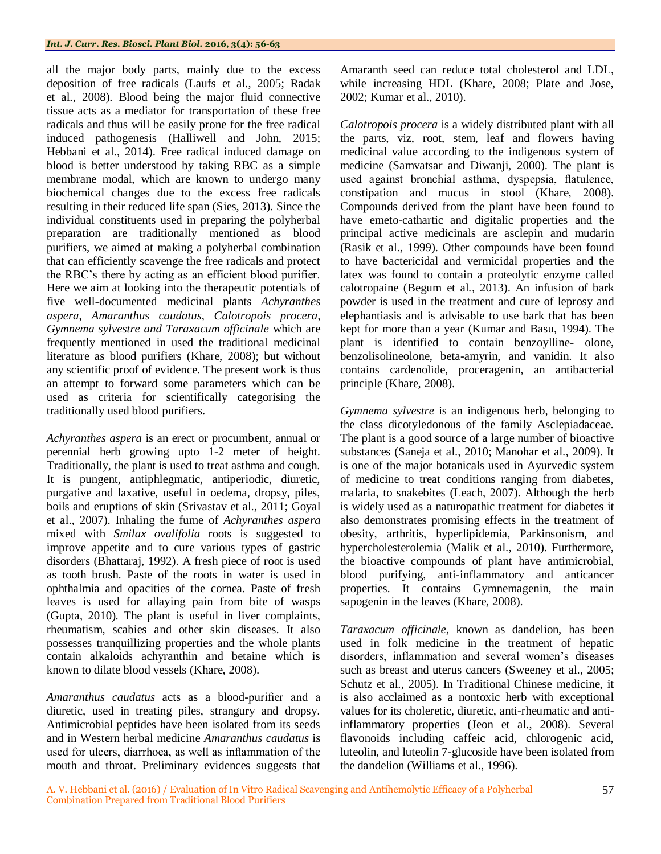all the major body parts, mainly due to the excess deposition of free radicals (Laufs et al., 2005; Radak et al., 2008). Blood being the major fluid connective tissue acts as a mediator for transportation of these free radicals and thus will be easily prone for the free radical induced pathogenesis (Halliwell and John, 2015; Hebbani et al., 2014). Free radical induced damage on blood is better understood by taking RBC as a simple membrane modal, which are known to undergo many biochemical changes due to the excess free radicals resulting in their reduced life span (Sies, 2013). Since the individual constituents used in preparing the polyherbal preparation are traditionally mentioned as blood purifiers, we aimed at making a polyherbal combination that can efficiently scavenge the free radicals and protect the RBC's there by acting as an efficient blood purifier. Here we aim at looking into the therapeutic potentials of five well-documented medicinal plants *Achyranthes aspera*, *Amaranthus caudatus*, *Calotropois procera, Gymnema sylvestre and Taraxacum officinale* which are frequently mentioned in used the traditional medicinal literature as blood purifiers (Khare, 2008); but without any scientific proof of evidence. The present work is thus an attempt to forward some parameters which can be used as criteria for scientifically categorising the traditionally used blood purifiers.

*Achyranthes aspera* is an erect or procumbent, annual or perennial herb growing upto 1-2 meter of height. Traditionally, the plant is used to treat asthma and cough. It is pungent, antiphlegmatic, antiperiodic, diuretic, purgative and laxative, useful in oedema, dropsy, piles, boils and eruptions of skin (Srivastav et al., 2011; Goyal et al., 2007). Inhaling the fume of *Achyranthes aspera* mixed with *Smilax ovalifolia* roots is suggested to improve appetite and to cure various types of gastric disorders (Bhattaraj, 1992). A fresh piece of root is used as tooth brush. Paste of the roots in water is used in ophthalmia and opacities of the cornea. Paste of fresh leaves is used for allaying pain from bite of wasps (Gupta, 2010). The plant is useful in liver complaints, rheumatism, scabies and other skin diseases. It also possesses tranquillizing properties and the whole plants contain alkaloids achyranthin and betaine which is known to dilate blood vessels (Khare, 2008).

*Amaranthus caudatus* acts as a blood-purifier and a diuretic, used in treating piles, strangury and dropsy. Antimicrobial peptides have been isolated from its seeds and in Western herbal medicine *Amaranthus caudatus* is used for ulcers, diarrhoea, as well as inflammation of the mouth and throat. Preliminary evidences suggests that Amaranth seed can reduce total cholesterol and LDL, while increasing HDL (Khare, 2008; Plate and Jose, 2002; Kumar et al., 2010).

*Calotropois procera* is a widely distributed plant with all the parts, viz, root, stem, leaf and flowers having medicinal value according to the indigenous system of medicine (Samvatsar and Diwanji, 2000). The plant is used against bronchial asthma, dyspepsia, flatulence, constipation and mucus in stool (Khare, 2008). Compounds derived from the plant have been found to have emeto-cathartic and digitalic properties and the principal active medicinals are asclepin and mudarin (Rasik et al., 1999). Other compounds have been found to have bactericidal and vermicidal properties and the latex was found to contain a proteolytic enzyme called calotropaine (Begum et al*.,* 2013). An infusion of bark powder is used in the treatment and cure of leprosy and elephantiasis and is advisable to use bark that has been kept for more than a year (Kumar and Basu, 1994). The plant is identified to contain benzoylline- olone, benzolisolineolone, beta-amyrin, and vanidin. It also contains cardenolide, proceragenin, an antibacterial principle (Khare, 2008).

*Gymnema sylvestre* is an indigenous herb, belonging to the class dicotyledonous of the family Asclepiadaceae. The plant is a good source of a large number of bioactive substances (Saneja et al., 2010; Manohar et al., 2009). It is one of the major botanicals used in Ayurvedic system of medicine to treat conditions ranging from diabetes, malaria, to snakebites (Leach, 2007). Although the herb is widely used as a naturopathic treatment for diabetes it also demonstrates promising effects in the treatment of obesity, arthritis, hyperlipidemia, Parkinsonism, and hypercholesterolemia (Malik et al., 2010). Furthermore, the bioactive compounds of plant have antimicrobial, blood purifying, anti-inflammatory and anticancer properties. It contains Gymnemagenin, the main sapogenin in the leaves (Khare, 2008).

*Taraxacum officinale*, known as dandelion, has been used in folk medicine in the treatment of hepatic disorders, inflammation and several women's diseases such as breast and uterus cancers (Sweeney et al., 2005; Schutz et al., 2005). In Traditional Chinese medicine, it is also acclaimed as a nontoxic herb with exceptional values for its choleretic, diuretic, anti-rheumatic and antiinflammatory properties (Jeon et al., 2008). Several flavonoids including caffeic acid, chlorogenic acid, luteolin, and luteolin 7-glucoside have been isolated from the dandelion (Williams et al., 1996).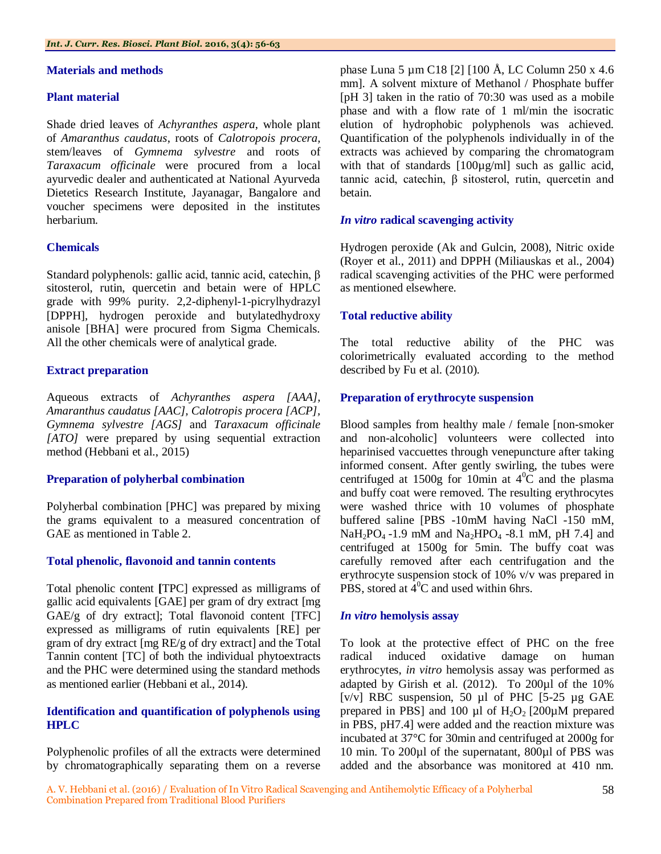#### **Materials and methods**

#### **Plant material**

Shade dried leaves of *Achyranthes aspera*, whole plant of *Amaranthus caudatus*, roots of *Calotropois procera,*  stem/leaves of *Gymnema sylvestre* and roots of *Taraxacum officinale* were procured from a local ayurvedic dealer and authenticated at National Ayurveda Dietetics Research Institute, Jayanagar, Bangalore and voucher specimens were deposited in the institutes herbarium.

# **Chemicals**

Standard polyphenols: gallic acid, tannic acid, catechin, β sitosterol, rutin, quercetin and betain were of HPLC grade with 99% purity. 2,2-diphenyl-1-picrylhydrazyl [DPPH], hydrogen peroxide and butylatedhydroxy anisole [BHA] were procured from Sigma Chemicals. All the other chemicals were of analytical grade.

# **Extract preparation**

Aqueous extracts of *Achyranthes aspera [AAA], Amaranthus caudatus [AAC], Calotropis procera [ACP], Gymnema sylvestre [AGS]* and *Taraxacum officinale [ATO]* were prepared by using sequential extraction method (Hebbani et al., 2015)

# **Preparation of polyherbal combination**

Polyherbal combination [PHC] was prepared by mixing the grams equivalent to a measured concentration of GAE as mentioned in Table 2.

#### **Total phenolic, flavonoid and tannin contents**

Total phenolic content **[**TPC] expressed as milligrams of gallic acid equivalents [GAE] per gram of dry extract [mg GAE/g of dry extract]; Total flavonoid content [TFC] expressed as milligrams of rutin equivalents [RE] per gram of dry extract [mg RE/g of dry extract] and the Total Tannin content [TC] of both the individual phytoextracts and the PHC were determined using the standard methods as mentioned earlier (Hebbani et al., 2014).

# **Identification and quantification of polyphenols using HPLC**

Polyphenolic profiles of all the extracts were determined by chromatographically separating them on a reverse

phase Luna 5 µm C18 [2] [100 Å, LC Column 250 x 4.6 mm]. A solvent mixture of Methanol / Phosphate buffer [pH 3] taken in the ratio of 70:30 was used as a mobile phase and with a flow rate of 1 ml/min the isocratic elution of hydrophobic polyphenols was achieved. Quantification of the polyphenols individually in of the extracts was achieved by comparing the chromatogram with that of standards [100µg/ml] such as gallic acid, tannic acid, catechin, β sitosterol, rutin, quercetin and betain.

# *In vitro* **radical scavenging activity**

Hydrogen peroxide (Ak and Gulcin, 2008), Nitric oxide (Royer et al., 2011) and DPPH (Miliauskas et al., 2004) radical scavenging activities of the PHC were performed as mentioned elsewhere.

# **Total reductive ability**

The total reductive ability of the PHC was colorimetrically evaluated according to the method described by Fu et al. (2010).

# **Preparation of erythrocyte suspension**

Blood samples from healthy male / female [non-smoker and non-alcoholic] volunteers were collected into heparinised vaccuettes through venepuncture after taking informed consent. After gently swirling, the tubes were centrifuged at 1500g for 10min at  $4^{\circ}$ C and the plasma and buffy coat were removed. The resulting erythrocytes were washed thrice with 10 volumes of phosphate buffered saline [PBS -10mM having NaCl -150 mM, NaH<sub>2</sub>PO<sub>4</sub> -1.9 mM and Na<sub>2</sub>HPO<sub>4</sub> -8.1 mM, pH 7.4] and centrifuged at 1500g for 5min. The buffy coat was carefully removed after each centrifugation and the erythrocyte suspension stock of 10% v/v was prepared in PBS, stored at  $\hat{4}^0$ C and used within 6hrs.

#### *In vitro* **hemolysis assay**

To look at the protective effect of PHC on the free radical induced oxidative damage on human erythrocytes, *in vitro* hemolysis assay was performed as adapted by Girish et al. (2012). To 200µl of the 10% [ $v/v$ ] RBC suspension, 50 µl of PHC [5-25 µg GAE prepared in PBS] and 100  $\mu$ l of H<sub>2</sub>O<sub>2</sub> [200 $\mu$ M prepared in PBS, pH7.4] were added and the reaction mixture was incubated at 37°C for 30min and centrifuged at 2000g for 10 min. To 200µl of the supernatant, 800µl of PBS was added and the absorbance was monitored at 410 nm.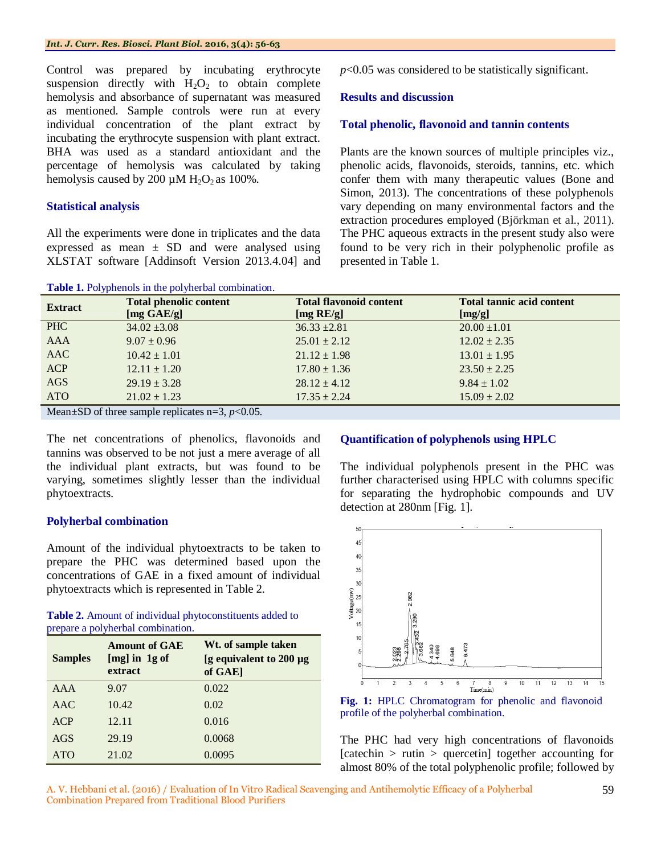Control was prepared by incubating erythrocyte suspension directly with  $H_2O_2$  to obtain complete hemolysis and absorbance of supernatant was measured as mentioned. Sample controls were run at every individual concentration of the plant extract by incubating the erythrocyte suspension with plant extract. BHA was used as a standard antioxidant and the percentage of hemolysis was calculated by taking hemolysis caused by 200  $\mu$ M H<sub>2</sub>O<sub>2</sub> as 100%.

#### **Statistical analysis**

All the experiments were done in triplicates and the data expressed as mean  $\pm$  SD and were analysed using XLSTAT software [Addinsoft Version 2013.4.04] and *p*<0.05 was considered to be statistically significant.

#### **Results and discussion**

#### **Total phenolic, flavonoid and tannin contents**

Plants are the known sources of multiple principles viz., phenolic acids, flavonoids, steroids, tannins, etc. which confer them with many therapeutic values (Bone and Simon, 2013). The concentrations of these polyphenols vary depending on many environmental factors and the extraction procedures employed (Björkman et al., 2011). The PHC aqueous extracts in the present study also were found to be very rich in their polyphenolic profile as presented in Table 1.

| Table 1. Polyphenols in the polyherbal combination. |                               |                                |                                  |  |  |  |
|-----------------------------------------------------|-------------------------------|--------------------------------|----------------------------------|--|--|--|
| <b>Extract</b>                                      | <b>Total phenolic content</b> | <b>Total flavonoid content</b> | <b>Total tannic acid content</b> |  |  |  |
|                                                     | $[mg \text{ GAE/g}]$          | [ $mg$ RE/g]                   | [mg/g]                           |  |  |  |
| PHC                                                 | $34.02 \pm 3.08$              | $36.33 \pm 2.81$               | $20.00 \pm 1.01$                 |  |  |  |
| <b>AAA</b>                                          | $9.07 \pm 0.96$               | $25.01 \pm 2.12$               | $12.02 \pm 2.35$                 |  |  |  |
| AAC                                                 | $10.42 \pm 1.01$              | $21.12 \pm 1.98$               | $13.01 \pm 1.95$                 |  |  |  |
| <b>ACP</b>                                          | $12.11 \pm 1.20$              | $17.80 \pm 1.36$               | $23.50 \pm 2.25$                 |  |  |  |
| AGS                                                 | $29.19 \pm 3.28$              | $28.12 \pm 4.12$               | $9.84 \pm 1.02$                  |  |  |  |
| <b>ATO</b>                                          | $21.02 \pm 1.23$              | $17.35 \pm 2.24$               | $15.09 \pm 2.02$                 |  |  |  |

Mean $\pm$ SD of three sample replicates n=3, *p*<0.05.

The net concentrations of phenolics, flavonoids and tannins was observed to be not just a mere average of all the individual plant extracts, but was found to be varying, sometimes slightly lesser than the individual phytoextracts.

## **Polyherbal combination**

Amount of the individual phytoextracts to be taken to prepare the PHC was determined based upon the concentrations of GAE in a fixed amount of individual phytoextracts which is represented in Table 2.

| Table 2. Amount of individual phytoconstituents added to |  |
|----------------------------------------------------------|--|
| prepare a polyherbal combination.                        |  |

| <b>Samples</b> | <b>Amount of GAE</b><br>$[mg]$ in $1g$ of<br>extract | Wt. of sample taken<br>[g equivalent to 200 µg<br>of GAE] |
|----------------|------------------------------------------------------|-----------------------------------------------------------|
| AAA            | 9.07                                                 | 0.022                                                     |
| AAC            | 10.42                                                | 0.02                                                      |
| <b>ACP</b>     | 12.11                                                | 0.016                                                     |
| AGS            | 29.19                                                | 0.0068                                                    |
| ATO            | 21.02                                                | 0.0095                                                    |

# **Quantification of polyphenols using HPLC**

The individual polyphenols present in the PHC was further characterised using HPLC with columns specific for separating the hydrophobic compounds and UV detection at 280nm [Fig. 1].



**Fig. 1:** HPLC Chromatogram for phenolic and flavonoid profile of the polyherbal combination.

The PHC had very high concentrations of flavonoids  $[catechin > rutin > quercetin] together according for$ almost 80% of the total polyphenolic profile; followed by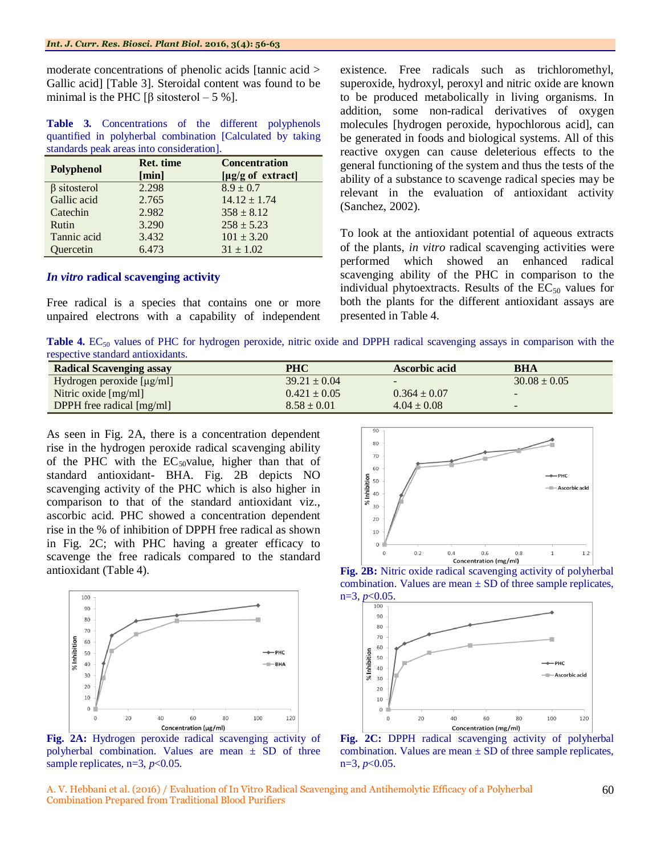moderate concentrations of phenolic acids [tannic acid > Gallic acid] [Table 3]. Steroidal content was found to be minimal is the PHC  $\lceil \beta \text{ sitosterol} - 5 \% \rceil$ .

**Table 3.** Concentrations of the different polyphenols quantified in polyherbal combination [Calculated by taking standards peak areas into consideration].

| Polyphenol         | Ret. time | <b>Concentration</b> |
|--------------------|-----------|----------------------|
|                    | [min]     | [µg/g of extract]    |
| $\beta$ sitosterol | 2.298     | $8.9 \pm 0.7$        |
| Gallic acid        | 2.765     | $14.12 \pm 1.74$     |
| Catechin           | 2.982     | $358 \pm 8.12$       |
| Rutin              | 3.290     | $258 + 5.23$         |
| Tannic acid        | 3.432     | $101 \pm 3.20$       |
| Quercetin          | 6.473     | $31 \pm 1.02$        |

#### *In vitro* **radical scavenging activity**

Free radical is a species that contains one or more unpaired electrons with a capability of independent existence. Free radicals such as trichloromethyl, superoxide, hydroxyl, peroxyl and nitric oxide are known to be produced metabolically in living organisms. In addition, some non-radical derivatives of oxygen molecules [hydrogen peroxide, hypochlorous acid], can be generated in foods and biological systems. All of this reactive oxygen can cause deleterious effects to the general functioning of the system and thus the tests of the ability of a substance to scavenge radical species may be relevant in the evaluation of antioxidant activity (Sanchez, 2002).

To look at the antioxidant potential of aqueous extracts of the plants, *in vitro* radical scavenging activities were performed which showed an enhanced radical scavenging ability of the PHC in comparison to the individual phytoextracts. Results of the  $EC_{50}$  values for both the plants for the different antioxidant assays are presented in Table 4.

**Table 4.** EC<sub>50</sub> values of PHC for hydrogen peroxide, nitric oxide and DPPH radical scavenging assays in comparison with the respective standard antioxidants.

| <b>Radical Scavenging assay</b>  | <b>PHC</b>       | Ascorbic acid    | <b>BHA</b>       |
|----------------------------------|------------------|------------------|------------------|
| Hydrogen peroxide $[\mu g/ml]$   | $39.21 \pm 0.04$ | $\sim$           | $30.08 \pm 0.05$ |
| Nitric oxide $[mg/ml]$           | $0.421 \pm 0.05$ | $0.364 \pm 0.07$ | $\sim$           |
| <b>DPPH</b> free radical [mg/ml] | $8.58 \pm 0.01$  | $4.04 \pm 0.08$  | -                |

As seen in Fig. 2A, there is a concentration dependent rise in the hydrogen peroxide radical scavenging ability of the PHC with the  $EC_{50}$ value, higher than that of standard antioxidant- BHA. Fig. 2B depicts NO scavenging activity of the PHC which is also higher in comparison to that of the standard antioxidant viz., ascorbic acid. PHC showed a concentration dependent rise in the % of inhibition of DPPH free radical as shown in Fig. 2C; with PHC having a greater efficacy to scavenge the free radicals compared to the standard antioxidant (Table 4).



**Fig. 2A:** Hydrogen peroxide radical scavenging activity of polyherbal combination. Values are mean  $\pm$  SD of three sample replicates, n=3,  $p$ <0.05.



**Fig. 2B:** Nitric oxide radical scavenging activity of polyherbal combination. Values are mean  $\pm$  SD of three sample replicates,  $n=3, p<0.05.$ 



**Fig. 2C:** DPPH radical scavenging activity of polyherbal combination. Values are mean  $\pm$  SD of three sample replicates, n=3, *p*<0.05.

A. V. Hebbani et al. (2016) / Evaluation of In Vitro Radical Scavenging and Antihemolytic Efficacy of a Polyherbal Combination Prepared from Traditional Blood Purifiers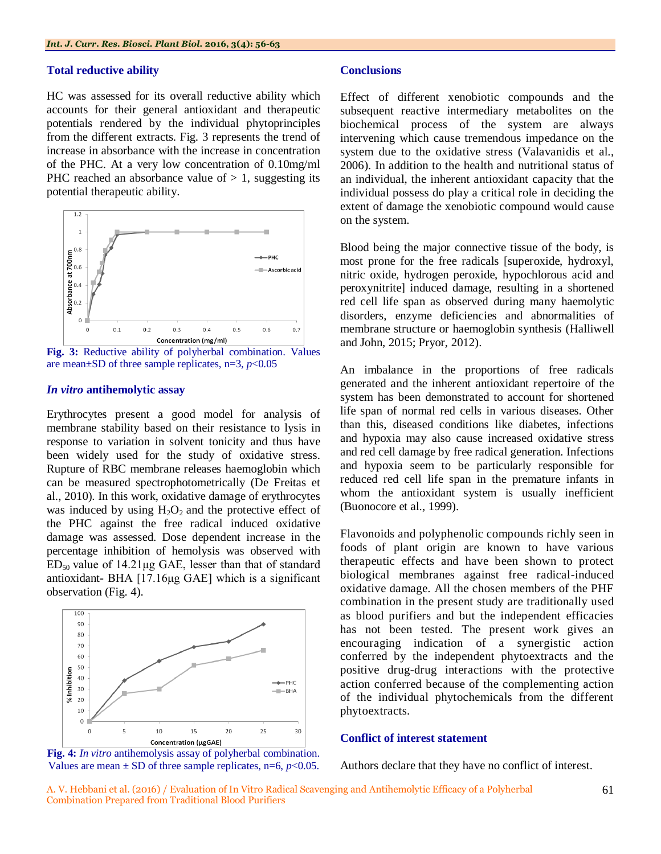#### **Total reductive ability**

HC was assessed for its overall reductive ability which accounts for their general antioxidant and therapeutic potentials rendered by the individual phytoprinciples from the different extracts. Fig. 3 represents the trend of increase in absorbance with the increase in concentration of the PHC. At a very low concentration of 0.10mg/ml PHC reached an absorbance value of  $> 1$ , suggesting its potential therapeutic ability.



**Fig. 3:** Reductive ability of polyherbal combination. Values are mean $\pm$ SD of three sample replicates, n=3,  $p$ <0.05

#### *In vitro* **antihemolytic assay**

Erythrocytes present a good model for analysis of membrane stability based on their resistance to lysis in response to variation in solvent tonicity and thus have been widely used for the study of oxidative stress. Rupture of RBC membrane releases haemoglobin which can be measured spectrophotometrically (De Freitas et al., 2010). In this work, oxidative damage of erythrocytes was induced by using  $H_2O_2$  and the protective effect of the PHC against the free radical induced oxidative damage was assessed. Dose dependent increase in the percentage inhibition of hemolysis was observed with  $ED_{50}$  value of 14.21 µg GAE, lesser than that of standard antioxidant- BHA [17.16μg GAE] which is a significant observation (Fig. 4).



**Fig. 4:** *In vitro* antihemolysis assay of polyherbal combination. Values are mean  $\pm$  SD of three sample replicates, n=6,  $p$ <0.05.

#### **Conclusions**

Effect of different xenobiotic compounds and the subsequent reactive intermediary metabolites on the biochemical process of the system are always intervening which cause tremendous impedance on the system due to the oxidative stress (Valavanidis et al., 2006). In addition to the health and nutritional status of an individual, the inherent antioxidant capacity that the individual possess do play a critical role in deciding the extent of damage the xenobiotic compound would cause on the system.

Blood being the major connective tissue of the body, is most prone for the free radicals [superoxide, hydroxyl, nitric oxide, hydrogen peroxide, hypochlorous acid and peroxynitrite] induced damage, resulting in a shortened red cell life span as observed during many haemolytic disorders, enzyme deficiencies and abnormalities of membrane structure or haemoglobin synthesis (Halliwell and John, 2015; Pryor, 2012).

An imbalance in the proportions of free radicals generated and the inherent antioxidant repertoire of the system has been demonstrated to account for shortened life span of normal red cells in various diseases. Other than this, diseased conditions like diabetes, infections and hypoxia may also cause increased oxidative stress and red cell damage by free radical generation. Infections and hypoxia seem to be particularly responsible for reduced red cell life span in the premature infants in whom the antioxidant system is usually inefficient (Buonocore et al., 1999).

Flavonoids and polyphenolic compounds richly seen in foods of plant origin are known to have various therapeutic effects and have been shown to protect biological membranes against free radical-induced oxidative damage. All the chosen members of the PHF combination in the present study are traditionally used as blood purifiers and but the independent efficacies has not been tested. The present work gives an encouraging indication of a synergistic action conferred by the independent phytoextracts and the positive drug-drug interactions with the protective action conferred because of the complementing action of the individual phytochemicals from the different phytoextracts.

# **Conflict of interest statement**

Authors declare that they have no conflict of interest.

A. V. Hebbani et al. (2016) / Evaluation of In Vitro Radical Scavenging and Antihemolytic Efficacy of a Polyherbal Combination Prepared from Traditional Blood Purifiers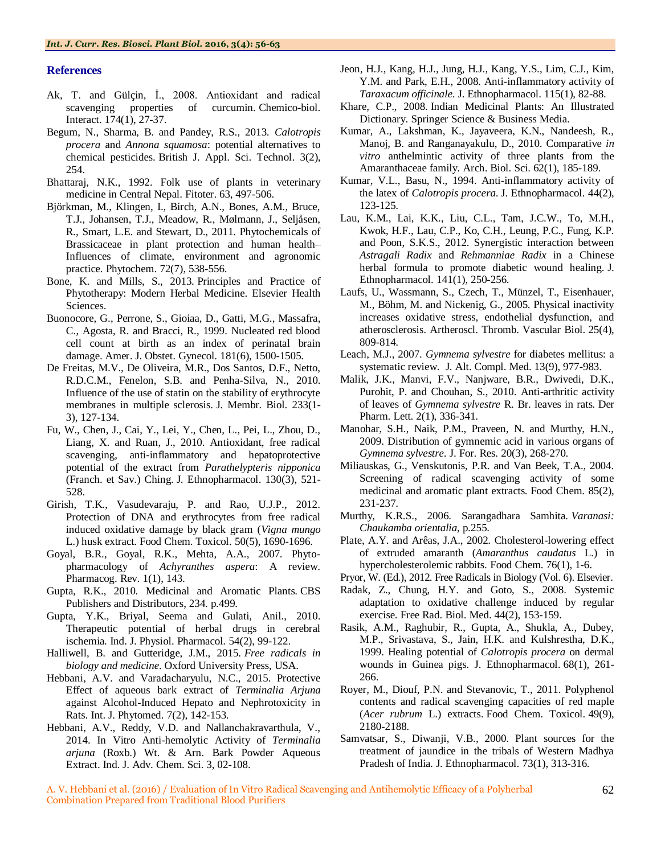#### **References**

- Ak, T. and Gülçin, İ., 2008. Antioxidant and radical scavenging properties of curcumin. Chemico-biol. Interact. 174(1), 27-37.
- Begum, N., Sharma, B. and Pandey, R.S., 2013. *Calotropis procera* and *Annona squamosa*: potential alternatives to chemical pesticides. British J. Appl. Sci. Technol. 3(2), 254.
- Bhattaraj, N.K., 1992. Folk use of plants in veterinary medicine in Central Nepal. Fitoter. 63, 497-506.
- Björkman, M., Klingen, I., Birch, A.N., Bones, A.M., Bruce, T.J., Johansen, T.J., Meadow, R., Mølmann, J., Seljåsen, R., Smart, L.E. and Stewart, D., 2011. Phytochemicals of Brassicaceae in plant protection and human health– Influences of climate, environment and agronomic practice. Phytochem. 72(7), 538-556.
- Bone, K. and Mills, S., 2013. Principles and Practice of Phytotherapy: Modern Herbal Medicine. Elsevier Health Sciences.
- Buonocore, G., Perrone, S., Gioiaa, D., Gatti, M.G., Massafra, C., Agosta, R. and Bracci, R., 1999. Nucleated red blood cell count at birth as an index of perinatal brain damage. Amer. J. Obstet. Gynecol. 181(6), 1500-1505.
- De Freitas, M.V., De Oliveira, M.R., Dos Santos, D.F., Netto, R.D.C.M., Fenelon, S.B. and Penha-Silva, N., 2010. Influence of the use of statin on the stability of erythrocyte membranes in multiple sclerosis. J. Membr. Biol. 233(1- 3), 127-134.
- Fu, W., Chen, J., Cai, Y., Lei, Y., Chen, L., Pei, L., Zhou, D., Liang, X. and Ruan, J., 2010. Antioxidant, free radical scavenging, anti-inflammatory and hepatoprotective potential of the extract from *Parathelypteris nipponica* (Franch. et Sav.) Ching. J. Ethnopharmacol. 130(3), 521- 528.
- Girish, T.K., Vasudevaraju, P. and Rao, U.J.P., 2012. Protection of DNA and erythrocytes from free radical induced oxidative damage by black gram (*Vigna mungo* L.) husk extract. Food Chem. Toxicol. 50(5), 1690-1696.
- Goyal, B.R., Goyal, R.K., Mehta, A.A., 2007. Phytopharmacology of *Achyranthes aspera*: A review. Pharmacog. Rev. 1(1), 143.
- Gupta, R.K., 2010. Medicinal and Aromatic Plants. CBS Publishers and Distributors, 234. p.499.
- Gupta, Y.K., Briyal, Seema and Gulati, Anil., 2010. Therapeutic potential of herbal drugs in cerebral ischemia. Ind. J. Physiol. Pharmacol. 54(2), 99-122.
- Halliwell, B. and Gutteridge, J.M., 2015. *Free radicals in biology and medicine*. Oxford University Press, USA.
- Hebbani, A.V. and Varadacharyulu, N.C., 2015. Protective Effect of aqueous bark extract of *Terminalia Arjuna* against Alcohol-Induced Hepato and Nephrotoxicity in Rats. Int. J. Phytomed. 7(2), 142-153.
- Hebbani, A.V., Reddy, V.D. and Nallanchakravarthula, V., 2014. In Vitro Anti-hemolytic Activity of *Terminalia arjuna* (Roxb.) Wt. & Arn. Bark Powder Aqueous Extract. Ind. J. Adv. Chem. Sci. 3, 02-108.
- Jeon, H.J., Kang, H.J., Jung, H.J., Kang, Y.S., Lim, C.J., Kim, Y.M. and Park, E.H., 2008. Anti-inflammatory activity of *Taraxacum officinale*. J. Ethnopharmacol. 115(1), 82-88.
- Khare, C.P., 2008. Indian Medicinal Plants: An Illustrated Dictionary. Springer Science & Business Media.
- Kumar, A., Lakshman, K., Jayaveera, K.N., Nandeesh, R., Manoj, B. and Ranganayakulu, D., 2010. Comparative *in vitro* anthelmintic activity of three plants from the Amaranthaceae family. Arch. Biol. Sci. 62(1), 185-189.
- Kumar, V.L., Basu, N., 1994. Anti-inflammatory activity of the latex of *Calotropis procera*. J. Ethnopharmacol. 44(2), 123-125.
- Lau, K.M., Lai, K.K., Liu, C.L., Tam, J.C.W., To, M.H., Kwok, H.F., Lau, C.P., Ko, C.H., Leung, P.C., Fung, K.P. and Poon, S.K.S., 2012. Synergistic interaction between *Astragali Radix* and *Rehmanniae Radix* in a Chinese herbal formula to promote diabetic wound healing. J. Ethnopharmacol. 141(1), 250-256.
- Laufs, U., Wassmann, S., Czech, T., Münzel, T., Eisenhauer, M., Böhm, M. and Nickenig, G., 2005. Physical inactivity increases oxidative stress, endothelial dysfunction, and atherosclerosis. Artheroscl. Thromb. Vascular Biol. 25(4), 809-814.
- Leach, M.J., 2007. *Gymnema sylvestre* for diabetes mellitus: a systematic review. J. Alt. Compl. Med. 13(9), 977-983.
- Malik, J.K., Manvi, F.V., Nanjware, B.R., Dwivedi, D.K., Purohit, P. and Chouhan, S., 2010. Anti-arthritic activity of leaves of *Gymnema sylvestre* R. Br. leaves in rats. Der Pharm. Lett. 2(1), 336-341.
- Manohar, S.H., Naik, P.M., Praveen, N. and Murthy, H.N., 2009. Distribution of gymnemic acid in various organs of *Gymnema sylvestre*. J. For. Res. 20(3), 268-270.
- Miliauskas, G., Venskutonis, P.R. and Van Beek, T.A., 2004. Screening of radical scavenging activity of some medicinal and aromatic plant extracts. Food Chem. 85(2), 231-237.
- Murthy, K.R.S., 2006. Sarangadhara Samhita. *Varanasi: Chaukamba orientalia*, p.255.
- Plate, A.Y. and Arêas, J.A., 2002. Cholesterol-lowering effect of extruded amaranth (*Amaranthus caudatus* L.) in hypercholesterolemic rabbits. Food Chem. 76(1), 1-6.
- Pryor, W. (Ed.), 2012. Free Radicals in Biology (Vol. 6). Elsevier.
- Radak, Z., Chung, H.Y. and Goto, S., 2008. Systemic adaptation to oxidative challenge induced by regular exercise. Free Rad. Biol. Med. 44(2), 153-159.
- Rasik, A.M., Raghubir, R., Gupta, A., Shukla, A., Dubey, M.P., Srivastava, S., Jain, H.K. and Kulshrestha, D.K., 1999. Healing potential of *Calotropis procera* on dermal wounds in Guinea pigs. J. Ethnopharmacol. 68(1), 261- 266.
- Royer, M., Diouf, P.N. and Stevanovic, T., 2011. Polyphenol contents and radical scavenging capacities of red maple (*Acer rubrum* L.) extracts. Food Chem. Toxicol. 49(9), 2180-2188.
- Samvatsar, S., Diwanji, V.B., 2000. Plant sources for the treatment of jaundice in the tribals of Western Madhya Pradesh of India. J. Ethnopharmacol. 73(1), 313-316.

A. V. Hebbani et al. (2016) / Evaluation of In Vitro Radical Scavenging and Antihemolytic Efficacy of a Polyherbal Combination Prepared from Traditional Blood Purifiers